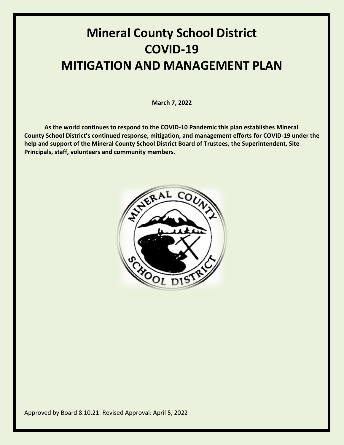# **Mineral County School District COVID-19 MITIGATION AND MANAGEMENT PLAN**

**March 7, 2022**

**As the world continues to respond to the COVID-10 Pandemic this plan establishes Mineral County School District's continued response, mitigation, and management efforts for COVID-19 under the help and support of the Mineral County School District Board of Trustees, the Superintendent, Site Principals, staff, volunteers and community members.**

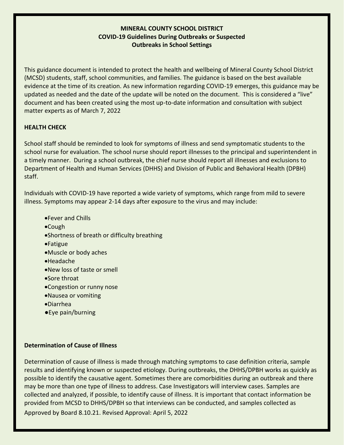#### **MINERAL COUNTY SCHOOL DISTRICT COVID-19 Guidelines During Outbreaks or Suspected Outbreaks in School Settings**

This guidance document is intended to protect the health and wellbeing of Mineral County School District (MCSD) students, staff, school communities, and families. The guidance is based on the best available evidence at the time of its creation. As new information regarding COVID-19 emerges, this guidance may be updated as needed and the date of the update will be noted on the document. This is considered a "live" document and has been created using the most up-to-date information and consultation with subject matter experts as of March 7, 2022

#### **HEALTH CHECK**

School staff should be reminded to look for symptoms of illness and send symptomatic students to the school nurse for evaluation. The school nurse should report illnesses to the principal and superintendent in a timely manner. During a school outbreak, the chief nurse should report all illnesses and exclusions to Department of Health and Human Services (DHHS) and Division of Public and Behavioral Health (DPBH) staff.

Individuals with COVID-19 have reported a wide variety of symptoms, which range from mild to severe illness. Symptoms may appear 2-14 days after exposure to the virus and may include:

- Fever and Chills
- Cough
- Shortness of breath or difficulty breathing
- Fatigue
- Muscle or body aches
- Headache
- New loss of taste or smell
- Sore throat
- Congestion or runny nose
- Nausea or vomiting
- Diarrhea
- ●Eye pain/burning

#### **Determination of Cause of Illness**

Approved by Board 8.10.21. Revised Approval: April 5, 2022 Determination of cause of illness is made through matching symptoms to case definition criteria, sample results and identifying known or suspected etiology. During outbreaks, the DHHS/DPBH works as quickly as possible to identify the causative agent. Sometimes there are comorbidities during an outbreak and there may be more than one type of illness to address. Case Investigators will interview cases. Samples are collected and analyzed, if possible, to identify cause of illness. It is important that contact information be provided from MCSD to DHHS/DPBH so that interviews can be conducted, and samples collected as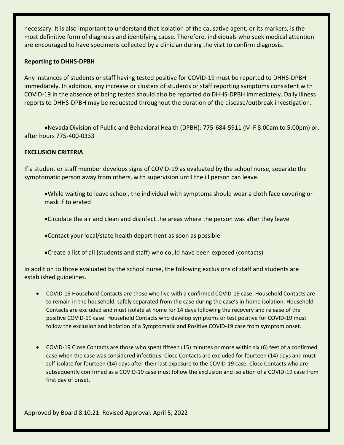necessary. It is also important to understand that isolation of the causative agent, or its markers, is the most definitive form of diagnosis and identifying cause. Therefore, individuals who seek medical attention are encouraged to have specimens collected by a clinician during the visit to confirm diagnosis.

#### **Reporting to DHHS-DPBH**

Any instances of students or staff having tested positive for COVID-19 must be reported to DHHS-DPBH immediately. In addition, any increase or clusters of students or staff reporting symptoms consistent with COVID-19 in the absence of being tested should also be reported do DHHS-DPBH immediately. Daily illness reports to DHHS-DPBH may be requested throughout the duration of the disease/outbreak investigation.

Nevada Division of Public and Behavioral Health (DPBH): 775-684-5911 (M-F 8:00am to 5:00pm) or, after hours 775-400-0333

#### **EXCLUSION CRITERIA**

If a student or staff member develops signs of COVID-19 as evaluated by the school nurse, separate the symptomatic person away from others, with supervision until the ill person can leave.

- While waiting to leave school, the individual with symptoms should wear a cloth face covering or mask if tolerated
- Circulate the air and clean and disinfect the areas where the person was after they leave

Contact your local/state health department as soon as possible

Create a list of all (students and staff) who could have been exposed (contacts)

In addition to those evaluated by the school nurse, the following exclusions of staff and students are established guidelines.

- COVID-19 Household Contacts are those who live with a confirmed COVID-19 case. Household Contacts are to remain in the household, safely separated from the case during the case's in-home isolation. Household Contacts are excluded and must isolate at home for 14 days following the recovery and release of the positive COVID-19 case. Household Contacts who develop symptoms or test positive for COVID-19 must follow the exclusion and isolation of a Symptomatic and Positive COVID-19 case from symptom onset.
- COVID-19 Close Contacts are those who spent fifteen (15) minutes or more within six (6) feet of a confirmed case when the case was considered infectious. Close Contacts are excluded for fourteen (14) days and must self-isolate for fourteen (14) days after their last exposure to the COVID-19 case. Close Contacts who are subsequently confirmed as a COVID-19 case must follow the exclusion and isolation of a COVID-19 case from first day of onset.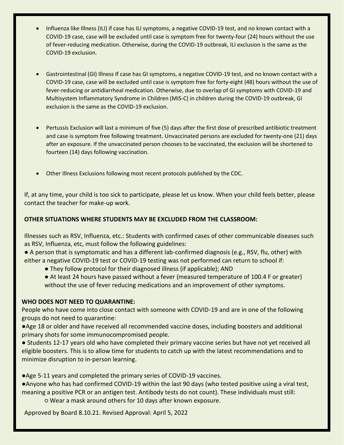- Influenza like Illness (ILI) if case has ILI symptoms, a negative COVID-19 test, and no known contact with a COVID-19 case, case will be excluded until case is symptom free for twenty-four (24) hours without the use of fever-reducing medication. Otherwise, during the COVID-19 outbreak, ILI exclusion is the same as the COVID-19 exclusion.
- Gastrointestinal (GI) Illness If case has GI symptoms, a negative COVID-19 test, and no known contact with a COVID-19 case, case will be excluded until case is symptom free for forty-eight (48) hours without the use of fever-reducing or antidiarrheal medication. Otherwise, due to overlap of GI symptoms with COVID-19 and Multisystem Inflammatory Syndrome in Children (MIS-C) in children during the COVID-19 outbreak, GI exclusion is the same as the COVID-19 exclusion.
- Pertussis Exclusion will last a minimum of five (5) days after the first dose of prescribed antibiotic treatment and case is symptom free following treatment. Unvaccinated persons are excluded for twenty-one (21) days after an exposure. If the unvaccinated person chooses to be vaccinated, the exclusion will be shortened to fourteen (14) days following vaccination.
- Other Illness Exclusions following most recent protocols published by the CDC.

If, at any time, your child is too sick to participate, please let us know. When your child feels better, please contact the teacher for make-up work.

#### **OTHER SITUATIONS WHERE STUDENTS MAY BE EXCLUDED FROM THE CLASSROOM:**

Illnesses such as RSV, Influenza, etc.: Students with confirmed cases of other communicable diseases such as RSV, Influenza, etc, must follow the following guidelines:

- A person that is symptomatic and has a different lab-confirmed diagnosis (e.g., RSV, flu, other) with either a negative COVID-19 test or COVID-19 testing was not performed can return to school if:
	- They follow protocol for their diagnosed illness (if applicable); AND
	- At least 24 hours have passed without a fever (measured temperature of 100.4 F or greater) without the use of fever reducing medications and an improvement of other symptoms.

#### **WHO DOES NOT NEED TO QUARANTINE:**

People who have come into close contact with someone with COVID-19 and are in one of the following groups do not need to quarantine:

- ●Age 18 or older and have received all recommended vaccine doses, including boosters and additional primary shots for some immunocompromised people.
- Students 12-17 years old who have completed their primary vaccine series but have not yet received all eligible boosters. This is to allow time for students to catch up with the latest recommendations and to minimize disruption to in-person learning.
- ●Age 5-11 years and completed the primary series of COVID-19 vaccines.
- ●Anyone who has had confirmed COVID-19 within the last 90 days (who tested positive using a viral test, meaning a positive PCR or an antigen test. Antibody tests do not count). These individuals must still: ○ Wear a mask around others for 10 days after known exposure.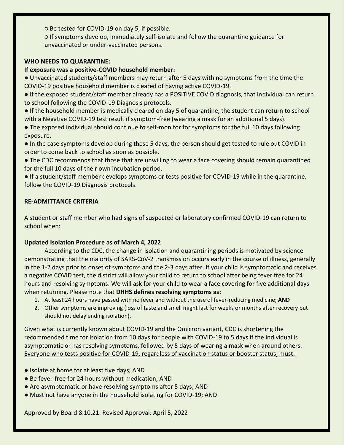○ Be tested for COVID-19 on day 5, if possible.

○ If symptoms develop, immediately self-isolate and follow the quarantine guidance for unvaccinated or under-vaccinated persons.

#### **WHO NEEDS TO QUARANTINE:**

#### **If exposure was a positive-COVID household member:**

● Unvaccinated students/staff members may return after 5 days with no symptoms from the time the COVID-19 positive household member is cleared of having active COVID-19.

● If the exposed student/staff member already has a POSITIVE COVID diagnosis, that individual can return to school following the COVID-19 Diagnosis protocols.

● If the household member is medically cleared on day 5 of quarantine, the student can return to school with a Negative COVID-19 test result if symptom-free (wearing a mask for an additional 5 days).

● The exposed individual should continue to self-monitor for symptoms for the full 10 days following exposure.

● In the case symptoms develop during these 5 days, the person should get tested to rule out COVID in order to come back to school as soon as possible.

● The CDC recommends that those that are unwilling to wear a face covering should remain quarantined for the full 10 days of their own incubation period.

● If a student/staff member develops symptoms or tests positive for COVID-19 while in the quarantine, follow the COVID-19 Diagnosis protocols.

#### **RE-ADMITTANCE CRITERIA**

A student or staff member who had signs of suspected or laboratory confirmed COVID-19 can return to school when:

#### **Updated Isolation Procedure as of March 4, 2022**

According to the CDC, the change in isolation and quarantining periods is motivated by science demonstrating that the majority of SARS-CoV-2 transmission occurs early in the course of illness, generally in the 1-2 days prior to onset of symptoms and the 2-3 days after. If your child is symptomatic and receives a negative COVID test, the district will allow your child to return to school after being fever free for 24 hours and resolving symptoms. We will ask for your child to wear a face covering for five additional days when returning. Please note that **DHHS defines resolving symptoms as:**

- 1. At least 24 hours have passed with no fever and without the use of fever-reducing medicine; **AND**
- 2. Other symptoms are improving (loss of taste and smell might last for weeks or months after recovery but should not delay ending isolation).

Given what is currently known about COVID-19 and the Omicron variant, CDC is shortening the recommended time for isolation from 10 days for people with COVID-19 to 5 days if the individual is asymptomatic or has resolving symptoms, followed by 5 days of wearing a mask when around others. Everyone who tests positive for COVID-19, regardless of vaccination status or booster status, must:

- Isolate at home for at least five days; AND
- Be fever-free for 24 hours without medication; AND
- Are asymptomatic or have resolving symptoms after 5 days; AND
- Must not have anyone in the household isolating for COVID-19; AND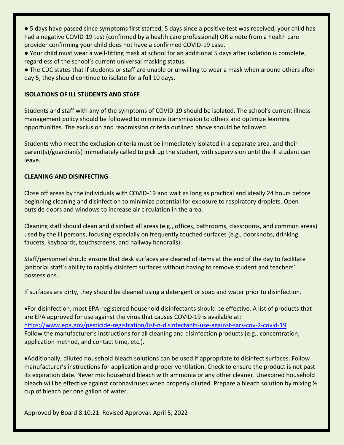● 5 days have passed since symptoms first started, 5 days since a positive test was received, your child has had a negative COVID-19 test (confirmed by a health care professional) OR a note from a health care provider confirming your child does not have a confirmed COVID-19 case.

● Your child must wear a well-fitting mask at school for an additional 5 days after isolation is complete, regardless of the school's current universal masking status.

● The CDC states that if students or staff are unable or unwilling to wear a mask when around others after day 5, they should continue to isolate for a full 10 days.

#### **ISOLATIONS OF ILL STUDENTS AND STAFF**

Students and staff with any of the symptoms of COVID-19 should be isolated. The school's current illness management policy should be followed to minimize transmission to others and optimize learning opportunities. The exclusion and readmission criteria outlined above should be followed.

Students who meet the exclusion criteria must be immediately isolated in a separate area, and their parent(s)/guardian(s) immediately called to pick up the student, with supervision until the ill student can leave.

#### **CLEANING AND DISINFECTING**

Close off areas by the individuals with COVID-19 and wait as long as practical and ideally 24 hours before beginning cleaning and disinfection to minimize potential for exposure to respiratory droplets. Open outside doors and windows to increase air circulation in the area.

Cleaning staff should clean and disinfect all areas (e.g., offices, bathrooms, classrooms, and common areas) used by the ill persons, focusing especially on frequently touched surfaces (e.g., doorknobs, drinking faucets, keyboards, touchscreens, and hallway handrails).

Staff/personnel should ensure that desk surfaces are cleared of items at the end of the day to facilitate janitorial staff's ability to rapidly disinfect surfaces without having to remove student and teachers' possessions.

If surfaces are dirty, they should be cleaned using a detergent or soap and water prior to disinfection.

For disinfection, most EPA-registered household disinfectants should be effective. A list of products that are EPA approved for use against the virus that causes COVID-19 is available at: <https://www.epa.gov/pesticide-registration/list-n-disinfectants-use-against-sars-cov-2-covid-19> Follow the manufacturer's instructions for all cleaning and disinfection products (e.g., concentration, application method, and contact time, etc.).

Additionally, diluted household bleach solutions can be used if appropriate to disinfect surfaces. Follow manufacturer's instructions for application and proper ventilation. Check to ensure the product is not past its expiration date. Never mix household bleach with ammonia or any other cleaner. Unexpired household bleach will be effective against coronaviruses when properly diluted. Prepare a bleach solution by mixing  $\frac{1}{2}$ cup of bleach per one gallon of water.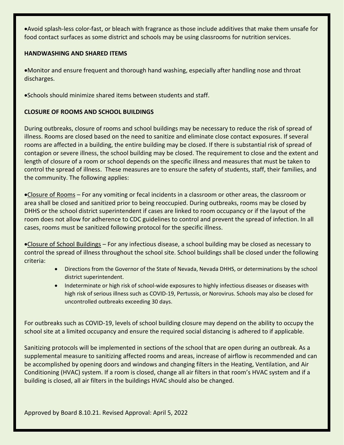Avoid splash-less color-fast, or bleach with fragrance as those include additives that make them unsafe for food contact surfaces as some district and schools may be using classrooms for nutrition services.

#### **HANDWASHING AND SHARED ITEMS**

Monitor and ensure frequent and thorough hand washing, especially after handling nose and throat discharges.

Schools should minimize shared items between students and staff.

#### **CLOSURE OF ROOMS AND SCHOOL BUILDINGS**

During outbreaks, closure of rooms and school buildings may be necessary to reduce the risk of spread of illness. Rooms are closed based on the need to sanitize and eliminate close contact exposures. If several rooms are affected in a building, the entire building may be closed. If there is substantial risk of spread of contagion or severe illness, the school building may be closed. The requirement to close and the extent and length of closure of a room or school depends on the specific illness and measures that must be taken to control the spread of illness. These measures are to ensure the safety of students, staff, their families, and the community. The following applies:

•Closure of Rooms – For any vomiting or fecal incidents in a classroom or other areas, the classroom or area shall be closed and sanitized prior to being reoccupied. During outbreaks, rooms may be closed by DHHS or the school district superintendent if cases are linked to room occupancy or if the layout of the room does not allow for adherence to CDC guidelines to control and prevent the spread of infection. In all cases, rooms must be sanitized following protocol for the specific illness.

Closure of School Buildings – For any infectious disease, a school building may be closed as necessary to control the spread of illness throughout the school site. School buildings shall be closed under the following criteria:

- Directions from the Governor of the State of Nevada, Nevada DHHS, or determinations by the school district superintendent.
- Indeterminate or high risk of school-wide exposures to highly infectious diseases or diseases with high risk of serious illness such as COVID-19, Pertussis, or Norovirus. Schools may also be closed for uncontrolled outbreaks exceeding 30 days.

For outbreaks such as COVID-19, levels of school building closure may depend on the ability to occupy the school site at a limited occupancy and ensure the required social distancing is adhered to if applicable.

Sanitizing protocols will be implemented in sections of the school that are open during an outbreak. As a supplemental measure to sanitizing affected rooms and areas, increase of airflow is recommended and can be accomplished by opening doors and windows and changing filters in the Heating, Ventilation, and Air Conditioning (HVAC) system. If a room is closed, change all air filters in that room's HVAC system and if a building is closed, all air filters in the buildings HVAC should also be changed.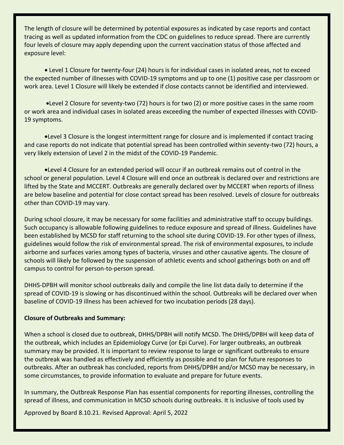The length of closure will be determined by potential exposures as indicated by case reports and contact tracing as well as updated information from the CDC on guidelines to reduce spread. There are currently four levels of closure may apply depending upon the current vaccination status of those affected and exposure level:

 Level 1 Closure for twenty-four (24) hours is for individual cases in isolated areas, not to exceed the expected number of illnesses with COVID-19 symptoms and up to one (1) positive case per classroom or work area. Level 1 Closure will likely be extended if close contacts cannot be identified and interviewed.

Level 2 Closure for seventy-two (72) hours is for two (2) or more positive cases in the same room or work area and individual cases in isolated areas exceeding the number of expected illnesses with COVID-19 symptoms.

Level 3 Closure is the longest intermittent range for closure and is implemented if contact tracing and case reports do not indicate that potential spread has been controlled within seventy-two (72) hours, a very likely extension of Level 2 in the midst of the COVID-19 Pandemic.

Level 4 Closure for an extended period will occur if an outbreak remains out of control in the school or general population. Level 4 Closure will end once an outbreak is declared over and restrictions are lifted by the State and MCCERT. Outbreaks are generally declared over by MCCERT when reports of illness are below baseline and potential for close contact spread has been resolved. Levels of closure for outbreaks other than COVID-19 may vary.

During school closure, it may be necessary for some facilities and administrative staff to occupy buildings. Such occupancy is allowable following guidelines to reduce exposure and spread of illness. Guidelines have been established by MCSD for staff returning to the school site during COVID-19. For other types of illness, guidelines would follow the risk of environmental spread. The risk of environmental exposures, to include airborne and surfaces varies among types of bacteria, viruses and other causative agents. The closure of schools will likely be followed by the suspension of athletic events and school gatherings both on and off campus to control for person-to-person spread.

DHHS-DPBH will monitor school outbreaks daily and compile the line list data daily to determine if the spread of COVID-19 is slowing or has discontinued within the school. Outbreaks will be declared over when baseline of COVID-19 illness has been achieved for two incubation periods (28 days).

#### **Closure of Outbreaks and Summary:**

When a school is closed due to outbreak, DHHS/DPBH will notify MCSD. The DHHS/DPBH will keep data of the outbreak, which includes an Epidemiology Curve (or Epi Curve). For larger outbreaks, an outbreak summary may be provided. It is important to review response to large or significant outbreaks to ensure the outbreak was handled as effectively and efficiently as possible and to plan for future responses to outbreaks. After an outbreak has concluded, reports from DHHS/DPBH and/or MCSD may be necessary, in some circumstances, to provide information to evaluate and prepare for future events.

In summary, the Outbreak Response Plan has essential components for reporting illnesses, controlling the spread of illness, and communication in MCSD schools during outbreaks. It is inclusive of tools used by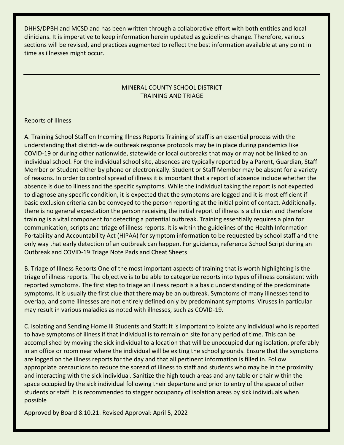DHHS/DPBH and MCSD and has been written through a collaborative effort with both entities and local clinicians. It is imperative to keep information herein updated as guidelines change. Therefore, various sections will be revised, and practices augmented to reflect the best information available at any point in time as illnesses might occur.

#### MINERAL COUNTY SCHOOL DISTRICT TRAINING AND TRIAGE

#### Reports of Illness

A. Training School Staff on Incoming Illness Reports Training of staff is an essential process with the understanding that district-wide outbreak response protocols may be in place during pandemics like COVID-19 or during other nationwide, statewide or local outbreaks that may or may not be linked to an individual school. For the individual school site, absences are typically reported by a Parent, Guardian, Staff Member or Student either by phone or electronically. Student or Staff Member may be absent for a variety of reasons. In order to control spread of illness it is important that a report of absence include whether the absence is due to illness and the specific symptoms. While the individual taking the report is not expected to diagnose any specific condition, it is expected that the symptoms are logged and it is most efficient if basic exclusion criteria can be conveyed to the person reporting at the initial point of contact. Additionally, there is no general expectation the person receiving the initial report of illness is a clinician and therefore training is a vital component for detecting a potential outbreak. Training essentially requires a plan for communication, scripts and triage of illness reports. It is within the guidelines of the Health Information Portability and Accountability Act (HIPAA) for symptom information to be requested by school staff and the only way that early detection of an outbreak can happen. For guidance, reference School Script during an Outbreak and COVID-19 Triage Note Pads and Cheat Sheets

B. Triage of Illness Reports One of the most important aspects of training that is worth highlighting is the triage of illness reports. The objective is to be able to categorize reports into types of illness consistent with reported symptoms. The first step to triage an illness report is a basic understanding of the predominate symptoms. It is usually the first clue that there may be an outbreak. Symptoms of many illnesses tend to overlap, and some illnesses are not entirely defined only by predominant symptoms. Viruses in particular may result in various maladies as noted with illnesses, such as COVID-19.

C. Isolating and Sending Home Ill Students and Staff: It is important to isolate any individual who is reported to have symptoms of illness if that individual is to remain on site for any period of time. This can be accomplished by moving the sick individual to a location that will be unoccupied during isolation, preferably in an office or room near where the individual will be exiting the school grounds. Ensure that the symptoms are logged on the illness reports for the day and that all pertinent information is filled in. Follow appropriate precautions to reduce the spread of illness to staff and students who may be in the proximity and interacting with the sick individual. Sanitize the high touch areas and any table or chair within the space occupied by the sick individual following their departure and prior to entry of the space of other students or staff. It is recommended to stagger occupancy of isolation areas by sick individuals when possible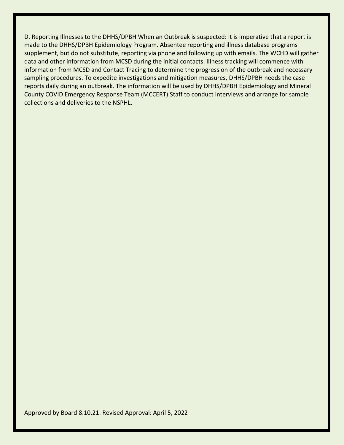D. Reporting Illnesses to the DHHS/DPBH When an Outbreak is suspected: it is imperative that a report is made to the DHHS/DPBH Epidemiology Program. Absentee reporting and illness database programs supplement, but do not substitute, reporting via phone and following up with emails. The WCHD will gather data and other information from MCSD during the initial contacts. Illness tracking will commence with information from MCSD and Contact Tracing to determine the progression of the outbreak and necessary sampling procedures. To expedite investigations and mitigation measures, DHHS/DPBH needs the case reports daily during an outbreak. The information will be used by DHHS/DPBH Epidemiology and Mineral County COVID Emergency Response Team (MCCERT) Staff to conduct interviews and arrange for sample collections and deliveries to the NSPHL.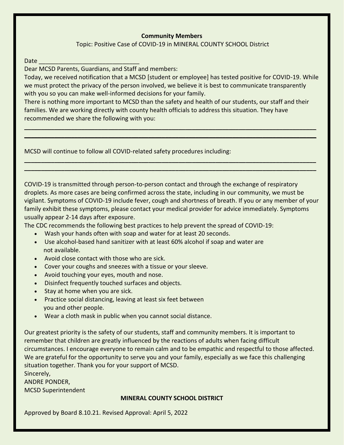#### **Community Members**

Topic: Positive Case of COVID-19 in MINERAL COUNTY SCHOOL District

Date

Dear MCSD Parents, Guardians, and Staff and members:

Today, we received notification that a MCSD [student or employee] has tested positive for COVID-19. While we must protect the privacy of the person involved, we believe it is best to communicate transparently with you so you can make well-informed decisions for your family.

There is nothing more important to MCSD than the safety and health of our students, our staff and their families. We are working directly with county health officials to address this situation. They have recommended we share the following with you:

**\_\_\_\_\_\_\_\_\_\_\_\_\_\_\_\_\_\_\_\_\_\_\_\_\_\_\_\_\_\_\_\_\_\_\_\_\_\_\_\_\_\_\_\_\_\_\_\_\_\_\_\_\_\_\_\_\_\_\_\_\_\_\_\_\_\_\_\_\_\_\_\_\_\_\_\_\_\_\_\_\_\_\_\_\_\_\_ \_\_\_\_\_\_\_\_\_\_\_\_\_\_\_\_\_\_\_\_\_\_\_\_\_\_\_\_\_\_\_\_\_\_\_\_\_\_\_\_\_\_\_\_\_\_\_\_\_\_\_\_\_\_\_\_\_\_\_\_\_\_\_\_\_\_\_\_\_\_\_\_\_\_\_\_\_\_\_\_\_\_\_\_\_\_\_**

**\_\_\_\_\_\_\_\_\_\_\_\_\_\_\_\_\_\_\_\_\_\_\_\_\_\_\_\_\_\_\_\_\_\_\_\_\_\_\_\_\_\_\_\_\_\_\_\_\_\_\_\_\_\_\_\_\_\_\_\_\_\_\_\_\_\_\_\_\_\_\_\_\_\_\_\_\_\_\_\_\_\_\_\_\_\_\_ \_\_\_\_\_\_\_\_\_\_\_\_\_\_\_\_\_\_\_\_\_\_\_\_\_\_\_\_\_\_\_\_\_\_\_\_\_\_\_\_\_\_\_\_\_\_\_\_\_\_\_\_\_\_\_\_\_\_\_\_\_\_\_\_\_\_\_\_\_\_\_\_\_\_\_\_\_\_\_\_\_\_\_\_\_\_\_**

MCSD will continue to follow all COVID-related safety procedures including:

COVID-19 is transmitted through person-to-person contact and through the exchange of respiratory droplets. As more cases are being confirmed across the state, including in our community, we must be vigilant. Symptoms of COVID-19 include fever, cough and shortness of breath. If you or any member of your family exhibit these symptoms, please contact your medical provider for advice immediately. Symptoms usually appear 2-14 days after exposure.

The CDC recommends the following best practices to help prevent the spread of COVID-19:

- Wash your hands often with soap and water for at least 20 seconds.
- Use alcohol-based hand sanitizer with at least 60% alcohol if soap and water are not available.
- Avoid close contact with those who are sick.
- Cover your coughs and sneezes with a tissue or your sleeve.
- Avoid touching your eyes, mouth and nose.
- Disinfect frequently touched surfaces and objects.
- Stay at home when you are sick.
- Practice social distancing, leaving at least six feet between you and other people.
- Wear a cloth mask in public when you cannot social distance.

Our greatest priority is the safety of our students, staff and community members. It is important to remember that children are greatly influenced by the reactions of adults when facing difficult circumstances. I encourage everyone to remain calm and to be empathic and respectful to those affected. We are grateful for the opportunity to serve you and your family, especially as we face this challenging situation together. Thank you for your support of MCSD.

Sincerely, ANDRE PONDER, MCSD Superintendent

#### **MINERAL COUNTY SCHOOL DISTRICT**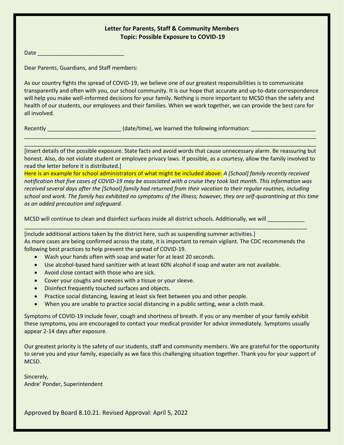#### **Letter for Parents, Staff & Community Members Topic: Possible Exposure to COVID-19**

Date \_\_\_\_\_\_\_\_\_\_\_\_\_\_\_\_\_\_\_\_\_\_\_\_\_\_\_\_

Dear Parents, Guardians, and Staff members:

As our country fights the spread of COVID-19, we believe one of our greatest responsibilities is to communicate transparently and often with you, our school community. It is our hope that accurate and up-to-date correspondence will help you make well-informed decisions for your family. Nothing is more important to MCSD than the safety and health of our students, our employees and their families. When we work together, we can provide the best care for all involved.

Recently \_\_\_\_\_\_\_\_\_\_\_\_\_\_\_\_\_\_\_\_\_\_\_\_\_\_\_\_\_\_(date/time), we learned the following information: \_\_\_\_\_\_\_\_\_

[Insert details of the possible exposure. State facts and avoid words that cause unnecessary alarm. Be reassuring but honest. Also, do not violate student or employee privacy laws. If possible, as a courtesy, allow the family involved to read the letter before it is distributed.]

\_\_\_\_\_\_\_\_\_\_\_\_\_\_\_\_\_\_\_\_\_\_\_\_\_\_\_\_\_\_\_\_\_\_\_\_\_\_\_\_\_\_\_\_\_\_\_\_\_\_\_\_\_\_\_\_\_\_\_\_\_\_\_\_\_\_\_\_\_\_\_\_\_\_\_\_\_\_\_\_\_\_\_\_\_\_\_\_\_\_\_\_\_\_\_ \_\_\_\_\_\_\_\_\_\_\_\_\_\_\_\_\_\_\_\_\_\_\_\_\_\_\_\_\_\_\_\_\_\_\_\_\_\_\_\_\_\_\_\_\_\_\_\_\_\_\_\_\_\_\_\_\_\_\_\_\_\_\_\_\_\_\_\_\_\_\_\_\_\_\_\_\_\_\_\_\_\_\_\_\_\_\_\_\_\_\_\_\_\_\_

Here is an example for school administrators of what might be included above: *A [School] family recently received notification that five cases of COVID-19 may be associated with a cruise they took last month. This information was received several days after the [School] family had returned from their vacation to their regular routines, including school and work. The family has exhibited no symptoms of the illness; however, they are self-quarantining at this time as an added precaution and safeguard.* 

MCSD will continue to clean and disinfect surfaces inside all district schools. Additionally, we will

[include additional actions taken by the district here, such as suspending summer activities.] As more cases are being confirmed across the state, it is important to remain vigilant. The CDC recommends the following best practices to help prevent the spread of COVID-19.

\_\_\_\_\_\_\_\_\_\_\_\_\_\_\_\_\_\_\_\_\_\_\_\_\_\_\_\_\_\_\_\_\_\_\_\_\_\_\_\_\_\_\_\_\_\_\_\_\_\_\_\_\_\_\_\_\_\_\_\_\_\_\_\_\_\_\_\_\_\_\_\_\_\_\_\_\_\_\_\_\_\_\_\_\_\_\_\_\_\_\_\_

- Wash your hands often with soap and water for at least 20 seconds.
- Use alcohol-based hand sanitizer with at least 60% alcohol if soap and water are not available.
- Avoid close contact with those who are sick.
- Cover your coughs and sneezes with a tissue or your sleeve.
- Disinfect frequently touched surfaces and objects.
- Practice social distancing, leaving at least six feet between you and other people.
- When you are unable to practice social distancing in a public setting, wear a cloth mask.

Symptoms of COVID-19 include fever, cough and shortness of breath. If you or any member of your family exhibit these symptoms, you are encouraged to contact your medical provider for advice immediately. Symptoms usually appear 2-14 days after exposure.

Our greatest priority is the safety of our students, staff and community members. We are grateful for the opportunity to serve you and your family, especially as we face this challenging situation together. Thank you for your support of MCSD.

Sincerely, Andre' Ponder, Superintendent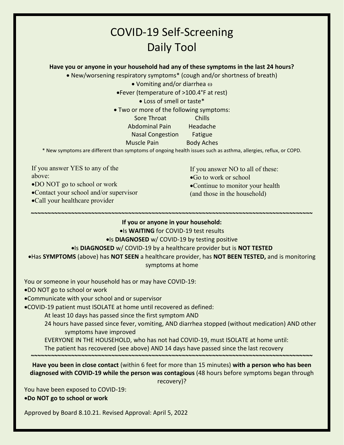## COVID-19 Self-Screening Daily Tool

**Have you or anyone in your household had any of these symptoms in the last 24 hours?**

New/worsening respiratory symptoms\* (cough and/or shortness of breath)

• Vomiting and/or diarrhea  $\omega$ 

Fever (temperature of >100.4°F at rest)

Loss of smell or taste\*

Two or more of the following symptoms:

Sore Throat Chills

Abdominal Pain Headache

Nasal Congestion Fatigue

Muscle Pain Body Aches

\* New symptoms are different than symptoms of ongoing health issues such as asthma, allergies, reflux, or COPD.

If you answer YES to any of the above:

DO NOT go to school or work

- Contact your school and/or supervisor
- Call your healthcare provider

If you answer NO to all of these:

Go to work or school

- Continue to monitor your health
- (and those in the household)

**~~~~~~~~~~~~~~~~~~~~~~~~~~~~~~~~~~~~~~~~~~~~~~~~~~~~~~~~~~~~~~~~~~~~~~~~~~~~~~~~~~~~ If you or anyone in your household:**

**.** Is WAITING for COVID-19 test results

#### **.** Is DIAGNOSED w/ COVID-19 by testing positive

#### Is **DIAGNOSED** w/ COVID-19 by a healthcare provider but is **NOT TESTED**

Has **SYMPTOMS** (above) has **NOT SEEN** a healthcare provider, has **NOT BEEN TESTED,** and is monitoring symptoms at home

You or someone in your household has or may have COVID-19:

DO NOT go to school or work

Communicate with your school and or supervisor

COVID-19 patient must ISOLATE at home until recovered as defined:

At least 10 days has passed since the first symptom AND

24 hours have passed since fever, vomiting, AND diarrhea stopped (without medication) AND other symptoms have improved

EVERYONE IN THE HOUSEHOLD, who has not had COVID-19, must ISOLATE at home until:

The patient has recovered (see above) AND 14 days have passed since the last recovery

**Have you been in close contact** (within 6 feet for more than 15 minutes) **with a person who has been diagnosed with COVID-19 while the person was contagious** (48 hours before symptoms began through recovery)?

**~~~~~~~~~~~~~~~~~~~~~~~~~~~~~~~~~~~~~~~~~~~~~~~~~~~~~~~~~~~~~~~~~~~~~~~~~~~~~~~~~~~~**

You have been exposed to COVID-19: **Do NOT go to school or work**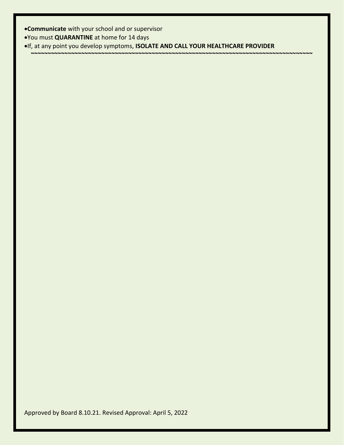**Communicate** with your school and or supervisor

You must **QUARANTINE** at home for 14 days

If, at any point you develop symptoms, **ISOLATE AND CALL YOUR HEALTHCARE PROVIDER**

**~~~~~~~~~~~~~~~~~~~~~~~~~~~~~~~~~~~~~~~~~~~~~~~~~~~~~~~~~~~~~~~~~~~~~~~~~~~~~~~~~~~~**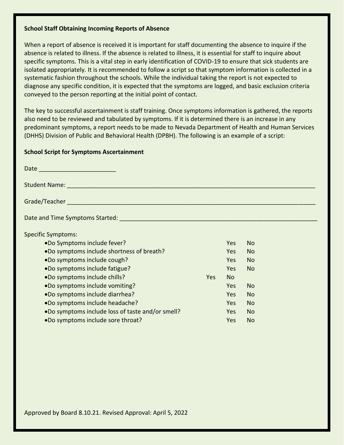#### **School Staff Obtaining Incoming Reports of Absence**

When a report of absence is received it is important for staff documenting the absence to inquire if the absence is related to illness. If the absence is related to illness, it is essential for staff to inquire about specific symptoms. This is a vital step in early identification of COVID-19 to ensure that sick students are isolated appropriately. It is recommended to follow a script so that symptom information is collected in a systematic fashion throughout the schools. While the individual taking the report is not expected to diagnose any specific condition, it is expected that the symptoms are logged, and basic exclusion criteria conveyed to the person reporting at the initial point of contact.

The key to successful ascertainment is staff training. Once symptoms information is gathered, the reports also need to be reviewed and tabulated by symptoms. If it is determined there is an increase in any predominant symptoms, a report needs to be made to Nevada Department of Health and Human Services (DHHS) Division of Public and Behavioral Health (DPBH). The following is an example of a script:

#### **School Script for Symptoms Ascertainment**

| Date ______________________                                                                                     |      |           |                |  |
|-----------------------------------------------------------------------------------------------------------------|------|-----------|----------------|--|
| Student Name: Experience of the Contract of the Contract of the Contract of the Contract of the Contract of the |      |           |                |  |
|                                                                                                                 |      |           |                |  |
| Date and Time Symptoms Started: National Contract of the Contract of the Contract of the Contract of the Contr  |      |           |                |  |
| <b>Specific Symptoms:</b>                                                                                       |      |           |                |  |
| .Do Symptoms include fever?                                                                                     |      | Yes       | No.            |  |
| .Do symptoms include shortness of breath?                                                                       |      | Yes       | N <sub>o</sub> |  |
| .Do symptoms include cough?                                                                                     |      | Yes       | <b>No</b>      |  |
| •Do symptoms include fatigue?                                                                                   |      | Yes.      | <b>No</b>      |  |
| .Do symptoms include chills?                                                                                    | Yes. | <b>No</b> |                |  |
| .Do symptoms include vomiting?                                                                                  |      | Yes       | N <sub>o</sub> |  |
| .Do symptoms include diarrhea?                                                                                  |      | Yes       | <b>No</b>      |  |
| .Do symptoms include headache?                                                                                  |      | Yes       | <b>No</b>      |  |
| •Do symptoms include loss of taste and/or smell?                                                                |      | Yes       | <b>No</b>      |  |
| .Do symptoms include sore throat?                                                                               |      | Yes       | <b>No</b>      |  |